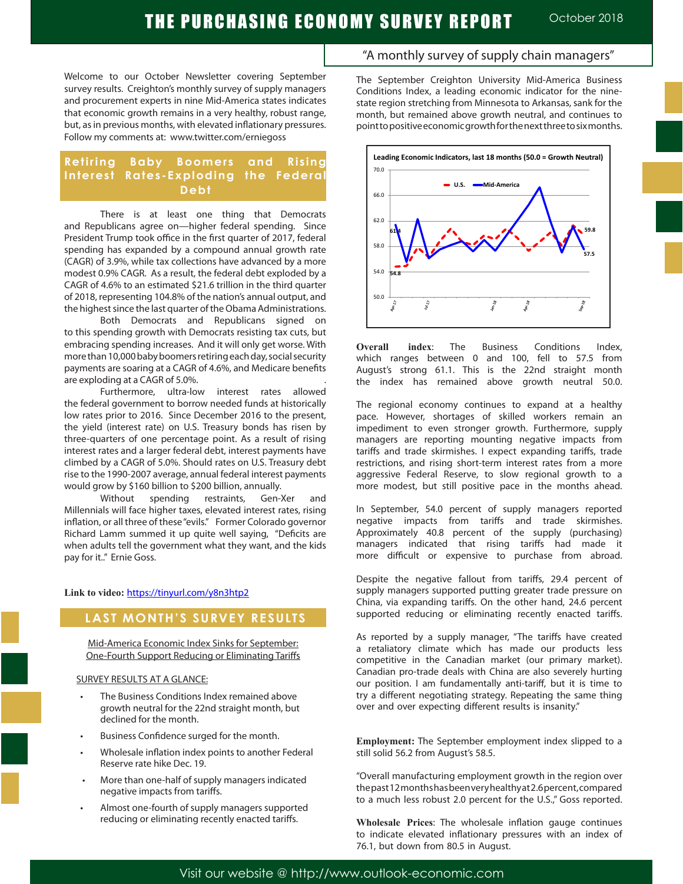# THE PURCHASING ECONOMY SURVEY REPORT October 2018

Welcome to our October Newsletter covering September survey results. Creighton's monthly survey of supply managers and procurement experts in nine Mid-America states indicates that economic growth remains in a very healthy, robust range, but, as in previous months, with elevated inflationary pressures. Follow my comments at: www.twitter.com/erniegoss

## **Retiring Baby Boomers and Rising Interest Rates-Exploding the Federal Debt**

There is at least one thing that Democrats and Republicans agree on—higher federal spending. Since President Trump took office in the first quarter of 2017, federal spending has expanded by a compound annual growth rate (CAGR) of 3.9%, while tax collections have advanced by a more modest 0.9% CAGR. As a result, the federal debt exploded by a CAGR of 4.6% to an estimated \$21.6 trillion in the third quarter of 2018, representing 104.8% of the nation's annual output, and the highest since the last quarter of the Obama Administrations.

Both Democrats and Republicans signed on to this spending growth with Democrats resisting tax cuts, but embracing spending increases. And it will only get worse. With more than 10,000 baby boomers retiring each day, social security payments are soaring at a CAGR of 4.6%, and Medicare benefits are exploding at a CAGR of 5.0%. .

Furthermore, ultra-low interest rates allowed the federal government to borrow needed funds at historically low rates prior to 2016. Since December 2016 to the present, the yield (interest rate) on U.S. Treasury bonds has risen by three-quarters of one percentage point. As a result of rising interest rates and a larger federal debt, interest payments have climbed by a CAGR of 5.0%. Should rates on U.S. Treasury debt rise to the 1990-2007 average, annual federal interest payments would grow by \$160 billion to \$200 billion, annually.

Without spending restraints, Gen-Xer and Millennials will face higher taxes, elevated interest rates, rising inflation, or all three of these "evils." Former Colorado governor Richard Lamm summed it up quite well saying, "Deficits are when adults tell the government what they want, and the kids pay for it.." Ernie Goss.

### **Link to video:** https://tinyurl.com/y8n3htp2

### **LAST MONTH'S SURVEY RESULTS**

Mid-America Economic Index Sinks for September: One-Fourth Support Reducing or Eliminating Tariffs

### SURVEY RESULTS AT A GLANCE:

- The Business Conditions Index remained above growth neutral for the 22nd straight month, but declined for the month.
- Business Confidence surged for the month.
- Wholesale inflation index points to another Federal Reserve rate hike Dec. 19.
- More than one-half of supply managers indicated negative impacts from tariffs.
- Almost one-fourth of supply managers supported reducing or eliminating recently enacted tariffs.

### "A monthly survey of supply chain managers"

The September Creighton University Mid-America Business Conditions Index, a leading economic indicator for the ninestate region stretching from Minnesota to Arkansas, sank for the month, but remained above growth neutral, and continues to point to positive economic growth for the next three to six months.



**Overall index**: The Business Conditions Index, which ranges between 0 and 100, fell to 57.5 from August's strong 61.1. This is the 22nd straight month the index has remained above growth neutral 50.0.

The regional economy continues to expand at a healthy pace. However, shortages of skilled workers remain an impediment to even stronger growth. Furthermore, supply managers are reporting mounting negative impacts from tariffs and trade skirmishes. I expect expanding tariffs, trade restrictions, and rising short-term interest rates from a more aggressive Federal Reserve, to slow regional growth to a more modest, but still positive pace in the months ahead.

In September, 54.0 percent of supply managers reported negative impacts from tariffs and trade skirmishes. Approximately 40.8 percent of the supply (purchasing) managers indicated that rising tariffs had made it more difficult or expensive to purchase from abroad.

Despite the negative fallout from tariffs, 29.4 percent of supply managers supported putting greater trade pressure on China, via expanding tariffs. On the other hand, 24.6 percent supported reducing or eliminating recently enacted tariffs.

As reported by a supply manager, "The tariffs have created a retaliatory climate which has made our products less competitive in the Canadian market (our primary market). Canadian pro-trade deals with China are also severely hurting our position. I am fundamentally anti-tariff, but it is time to try a different negotiating strategy. Repeating the same thing over and over expecting different results is insanity."

**Employment:** The September employment index slipped to a still solid 56.2 from August's 58.5.

"Overall manufacturing employment growth in the region over the past 12 months has been very healthy at 2.6 percent, compared to a much less robust 2.0 percent for the U.S.," Goss reported.

**Wholesale Prices**: The wholesale inflation gauge continues to indicate elevated inflationary pressures with an index of 76.1, but down from 80.5 in August.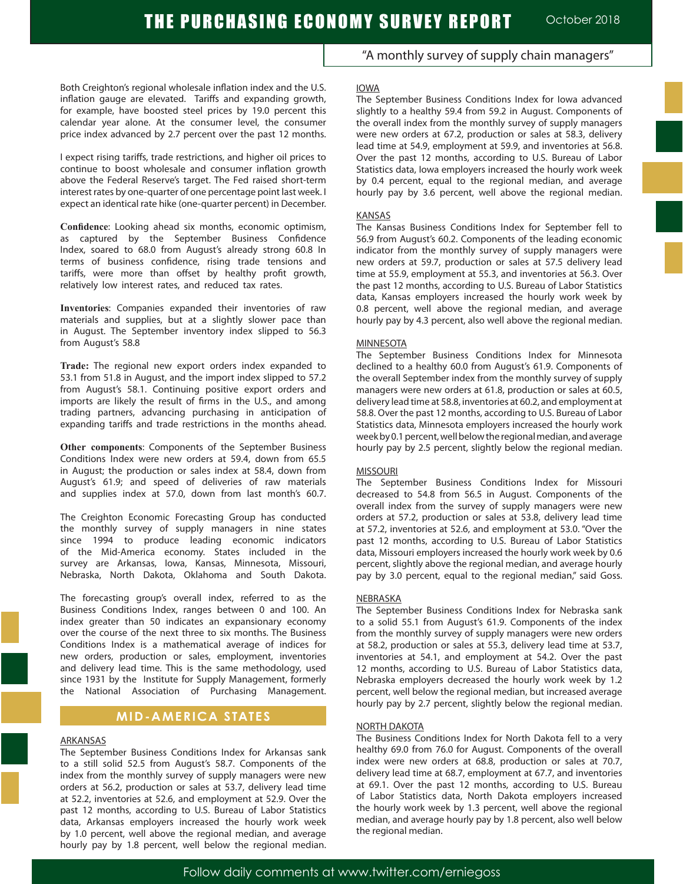Both Creighton's regional wholesale inflation index and the U.S. inflation gauge are elevated. Tariffs and expanding growth, for example, have boosted steel prices by 19.0 percent this calendar year alone. At the consumer level, the consumer price index advanced by 2.7 percent over the past 12 months.

I expect rising tariffs, trade restrictions, and higher oil prices to continue to boost wholesale and consumer inflation growth above the Federal Reserve's target. The Fed raised short-term interest rates by one-quarter of one percentage point last week. I expect an identical rate hike (one-quarter percent) in December.

**Confidence**: Looking ahead six months, economic optimism, as captured by the September Business Confidence Index, soared to 68.0 from August's already strong 60.8 In terms of business confidence, rising trade tensions and tariffs, were more than offset by healthy profit growth, relatively low interest rates, and reduced tax rates.

**Inventories**: Companies expanded their inventories of raw materials and supplies, but at a slightly slower pace than in August. The September inventory index slipped to 56.3 from August's 58.8

**Trade:** The regional new export orders index expanded to 53.1 from 51.8 in August, and the import index slipped to 57.2 from August's 58.1. Continuing positive export orders and imports are likely the result of firms in the U.S., and among trading partners, advancing purchasing in anticipation of expanding tariffs and trade restrictions in the months ahead.

**Other components**: Components of the September Business Conditions Index were new orders at 59.4, down from 65.5 in August; the production or sales index at 58.4, down from August's 61.9; and speed of deliveries of raw materials and supplies index at 57.0, down from last month's 60.7.

The Creighton Economic Forecasting Group has conducted the monthly survey of supply managers in nine states since 1994 to produce leading economic indicators of the Mid-America economy. States included in the survey are Arkansas, Iowa, Kansas, Minnesota, Missouri, Nebraska, North Dakota, Oklahoma and South Dakota.

The forecasting group's overall index, referred to as the Business Conditions Index, ranges between 0 and 100. An index greater than 50 indicates an expansionary economy over the course of the next three to six months. The Business Conditions Index is a mathematical average of indices for new orders, production or sales, employment, inventories and delivery lead time. This is the same methodology, used since 1931 by the Institute for Supply Management, formerly the National Association of Purchasing Management.

# **MID-AMERICA STATES**

### ARKANSAS

The September Business Conditions Index for Arkansas sank to a still solid 52.5 from August's 58.7. Components of the index from the monthly survey of supply managers were new orders at 56.2, production or sales at 53.7, delivery lead time at 52.2, inventories at 52.6, and employment at 52.9. Over the past 12 months, according to U.S. Bureau of Labor Statistics data, Arkansas employers increased the hourly work week by 1.0 percent, well above the regional median, and average hourly pay by 1.8 percent, well below the regional median.

"A monthly survey of supply chain managers"

#### IOWA

The September Business Conditions Index for Iowa advanced slightly to a healthy 59.4 from 59.2 in August. Components of the overall index from the monthly survey of supply managers were new orders at 67.2, production or sales at 58.3, delivery lead time at 54.9, employment at 59.9, and inventories at 56.8. Over the past 12 months, according to U.S. Bureau of Labor Statistics data, Iowa employers increased the hourly work week by 0.4 percent, equal to the regional median, and average hourly pay by 3.6 percent, well above the regional median.

#### KANSAS

The Kansas Business Conditions Index for September fell to 56.9 from August's 60.2. Components of the leading economic indicator from the monthly survey of supply managers were new orders at 59.7, production or sales at 57.5 delivery lead time at 55.9, employment at 55.3, and inventories at 56.3. Over the past 12 months, according to U.S. Bureau of Labor Statistics data, Kansas employers increased the hourly work week by 0.8 percent, well above the regional median, and average hourly pay by 4.3 percent, also well above the regional median.

#### MINNESOTA

The September Business Conditions Index for Minnesota declined to a healthy 60.0 from August's 61.9. Components of the overall September index from the monthly survey of supply managers were new orders at 61.8, production or sales at 60.5, delivery lead time at 58.8, inventories at 60.2, and employment at 58.8. Over the past 12 months, according to U.S. Bureau of Labor Statistics data, Minnesota employers increased the hourly work week by 0.1 percent, well below the regional median, and average hourly pay by 2.5 percent, slightly below the regional median.

#### MISSOURI

The September Business Conditions Index for Missouri decreased to 54.8 from 56.5 in August. Components of the overall index from the survey of supply managers were new orders at 57.2, production or sales at 53.8, delivery lead time at 57.2, inventories at 52.6, and employment at 53.0. "Over the past 12 months, according to U.S. Bureau of Labor Statistics data, Missouri employers increased the hourly work week by 0.6 percent, slightly above the regional median, and average hourly pay by 3.0 percent, equal to the regional median," said Goss.

#### NEBRASKA

The September Business Conditions Index for Nebraska sank to a solid 55.1 from August's 61.9. Components of the index from the monthly survey of supply managers were new orders at 58.2, production or sales at 55.3, delivery lead time at 53.7, inventories at 54.1, and employment at 54.2. Over the past 12 months, according to U.S. Bureau of Labor Statistics data, Nebraska employers decreased the hourly work week by 1.2 percent, well below the regional median, but increased average hourly pay by 2.7 percent, slightly below the regional median.

#### NORTH DAKOTA

The Business Conditions Index for North Dakota fell to a very healthy 69.0 from 76.0 for August. Components of the overall index were new orders at 68.8, production or sales at 70.7, delivery lead time at 68.7, employment at 67.7, and inventories at 69.1. Over the past 12 months, according to U.S. Bureau of Labor Statistics data, North Dakota employers increased the hourly work week by 1.3 percent, well above the regional median, and average hourly pay by 1.8 percent, also well below the regional median.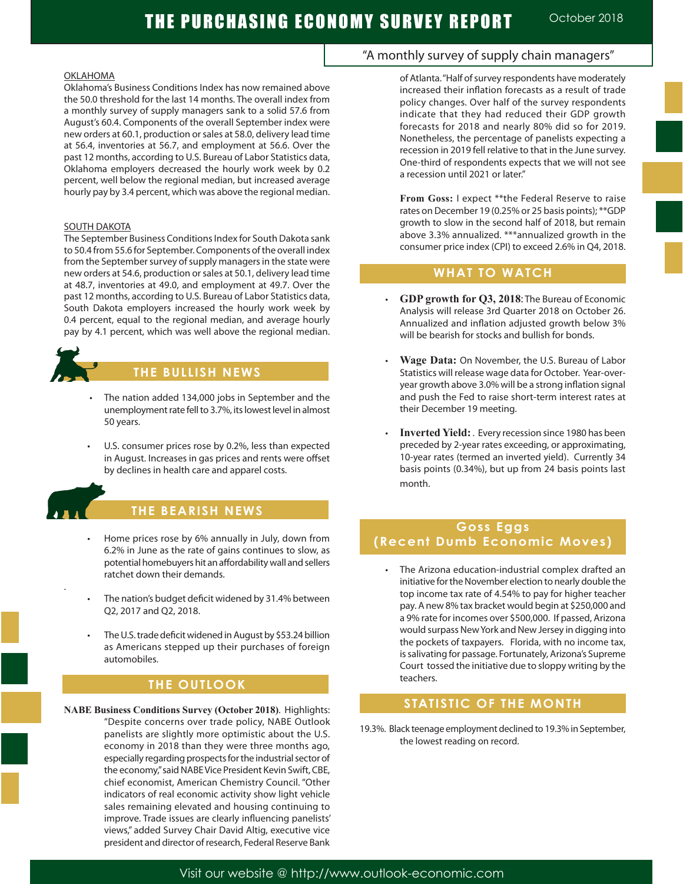Ĩ

### OKLAHOMA

Oklahoma's Business Conditions Index has now remained above the 50.0 threshold for the last 14 months. The overall index from a monthly survey of supply managers sank to a solid 57.6 from August's 60.4. Components of the overall September index were new orders at 60.1, production or sales at 58.0, delivery lead time at 56.4, inventories at 56.7, and employment at 56.6. Over the past 12 months, according to U.S. Bureau of Labor Statistics data, Oklahoma employers decreased the hourly work week by 0.2 percent, well below the regional median, but increased average hourly pay by 3.4 percent, which was above the regional median.

### SOUTH DAKOTA

The September Business Conditions Index for South Dakota sank to 50.4 from 55.6 for September. Components of the overall index from the September survey of supply managers in the state were new orders at 54.6, production or sales at 50.1, delivery lead time at 48.7, inventories at 49.0, and employment at 49.7. Over the past 12 months, according to U.S. Bureau of Labor Statistics data, South Dakota employers increased the hourly work week by 0.4 percent, equal to the regional median, and average hourly pay by 4.1 percent, which was well above the regional median.



# **THE BULLISH NEWS**

- The nation added 134,000 jobs in September and the unemployment rate fell to 3.7%, its lowest level in almost 50 years.
- U.S. consumer prices rose by 0.2%, less than expected in August. Increases in gas prices and rents were offset by declines in health care and apparel costs.



.

# **THE BEARISH NEWS**

- Home prices rose by 6% annually in July, down from 6.2% in June as the rate of gains continues to slow, as potential homebuyers hit an affordability wall and sellers ratchet down their demands.
- The nation's budget deficit widened by 31.4% between Q2, 2017 and Q2, 2018.
- The U.S. trade deficit widened in August by \$53.24 billion as Americans stepped up their purchases of foreign automobiles.

# **THE OUTLOOK**

**NABE Business Conditions Survey (October 2018)**. Highlights: "Despite concerns over trade policy, NABE Outlook panelists are slightly more optimistic about the U.S. economy in 2018 than they were three months ago, especially regarding prospects for the industrial sector of the economy," said NABE Vice President Kevin Swift, CBE, chief economist, American Chemistry Council. "Other indicators of real economic activity show light vehicle sales remaining elevated and housing continuing to improve. Trade issues are clearly influencing panelists' views," added Survey Chair David Altig, executive vice president and director of research, Federal Reserve Bank

# "A monthly survey of supply chain managers"

of Atlanta. "Half of survey respondents have moderately increased their inflation forecasts as a result of trade policy changes. Over half of the survey respondents indicate that they had reduced their GDP growth forecasts for 2018 and nearly 80% did so for 2019. Nonetheless, the percentage of panelists expecting a recession in 2019 fell relative to that in the June survey. One-third of respondents expects that we will not see a recession until 2021 or later."

**From Goss:** I expect \*\*the Federal Reserve to raise rates on December 19 (0.25% or 25 basis points); \*\*GDP growth to slow in the second half of 2018, but remain above 3.3% annualized. \*\*\*annualized growth in the consumer price index (CPI) to exceed 2.6% in Q4, 2018.

# **WHAT TO WATCH**

- • **GDP growth for Q3, 2018**: The Bureau of Economic Analysis will release 3rd Quarter 2018 on October 26. Annualized and inflation adjusted growth below 3% will be bearish for stocks and bullish for bonds.
- **Wage Data:** On November, the U.S. Bureau of Labor Statistics will release wage data for October. Year-overyear growth above 3.0% will be a strong inflation signal and push the Fed to raise short-term interest rates at their December 19 meeting.
- **Inverted Yield:** . Every recession since 1980 has been preceded by 2-year rates exceeding, or approximating, 10-year rates (termed an inverted yield). Currently 34 basis points (0.34%), but up from 24 basis points last month.

# **Goss Eggs (Recent Dumb Economic Moves)**

The Arizona education-industrial complex drafted an initiative for the November election to nearly double the top income tax rate of 4.54% to pay for higher teacher pay. A new 8% tax bracket would begin at \$250,000 and a 9% rate for incomes over \$500,000. If passed, Arizona would surpass New York and New Jersey in digging into the pockets of taxpayers. Florida, with no income tax, is salivating for passage. Fortunately, Arizona's Supreme Court tossed the initiative due to sloppy writing by the teachers.

# **STATISTIC OF THE MONTH**

19.3%. Black teenage employment declined to 19.3% in September, the lowest reading on record.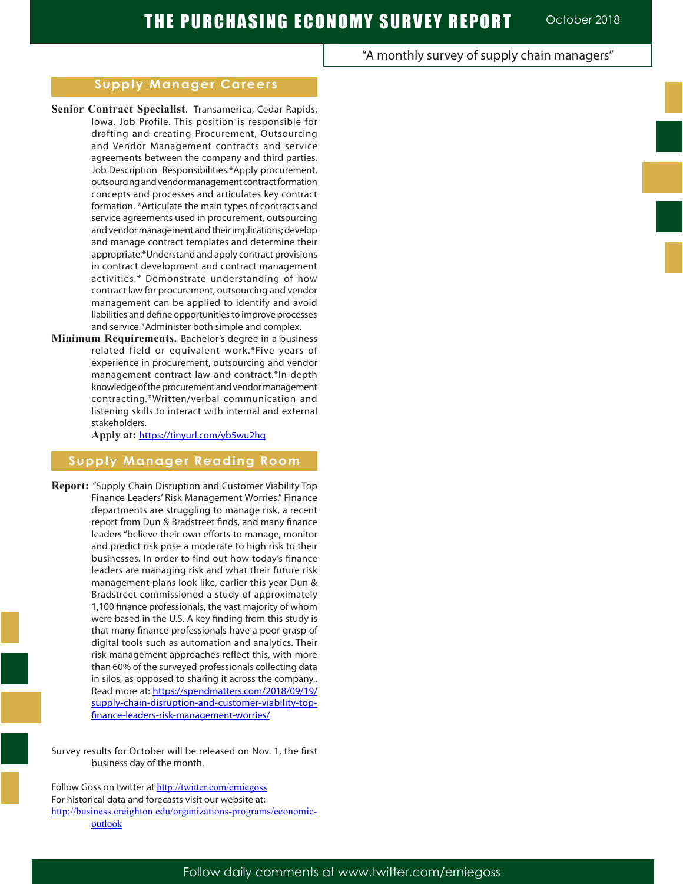# "A monthly survey of supply chain managers"

### **Supply Manager Careers**

- **Senior Contract Specialist**. Transamerica, Cedar Rapids, Iowa. Job Profile. This position is responsible for drafting and creating Procurement, Outsourcing and Vendor Management contracts and service agreements between the company and third parties. Job Description Responsibilities.\*Apply procurement, outsourcing and vendor management contract formation concepts and processes and articulates key contract formation. \*Articulate the main types of contracts and service agreements used in procurement, outsourcing and vendor management and their implications; develop and manage contract templates and determine their appropriate.\*Understand and apply contract provisions in contract development and contract management activities.\* Demonstrate understanding of how contract law for procurement, outsourcing and vendor management can be applied to identify and avoid liabilities and define opportunities to improve processes and service.\*Administer both simple and complex.
- **Minimum Requirements.** Bachelor's degree in a business related field or equivalent work.\*Five years of experience in procurement, outsourcing and vendor management contract law and contract.\*In-depth knowledge of the procurement and vendor management contracting.\*Written/verbal communication and listening skills to interact with internal and external stakeholders.

**Apply at:** https://tinyurl.com/yb5wu2hq

## **Supply Manager Reading Room**

**Report:** "Supply Chain Disruption and Customer Viability Top Finance Leaders' Risk Management Worries." Finance departments are struggling to manage risk, a recent report from Dun & Bradstreet finds, and many finance leaders "believe their own efforts to manage, monitor and predict risk pose a moderate to high risk to their businesses. In order to find out how today's finance leaders are managing risk and what their future risk management plans look like, earlier this year Dun & Bradstreet commissioned a study of approximately 1,100 finance professionals, the vast majority of whom were based in the U.S. A key finding from this study is that many finance professionals have a poor grasp of digital tools such as automation and analytics. Their risk management approaches reflect this, with more than 60% of the surveyed professionals collecting data in silos, as opposed to sharing it across the company.. Read more at: https://spendmatters.com/2018/09/19/ supply-chain-disruption-and-customer-viability-topfinance-leaders-risk-management-worries/

Survey results for October will be released on Nov. 1, the first business day of the month.

Follow Goss on twitter at http://twitter.com/erniegoss For historical data and forecasts visit our website at: http://business.creighton.edu/organizations-programs/economicoutlook